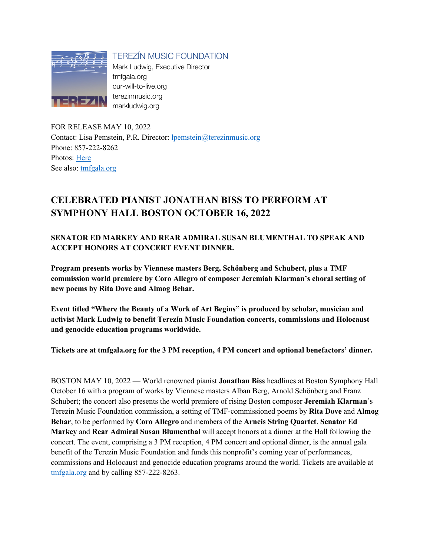

TEREZÍN MUSIC FOUNDATION

Mark Ludwig, Executive Director tmfgala.org our-will-to-live.org terezinmusic.org markludwig.org

FOR RELEASE MAY 10, 2022 Contact: Lisa Pemstein, P.R. Director: lpemstein@terezinmusic.org Phone: 857-222-8262 Photos: Here See also: tmfgala.org

# **CELEBRATED PIANIST JONATHAN BISS TO PERFORM AT SYMPHONY HALL BOSTON OCTOBER 16, 2022**

**SENATOR ED MARKEY AND REAR ADMIRAL SUSAN BLUMENTHAL TO SPEAK AND ACCEPT HONORS AT CONCERT EVENT DINNER.** 

**Program presents works by Viennese masters Berg, Schönberg and Schubert, plus a TMF commission world premiere by Coro Allegro of composer Jeremiah Klarman's choral setting of new poems by Rita Dove and Almog Behar.**

**Event titled "Where the Beauty of a Work of Art Begins" is produced by scholar, musician and activist Mark Ludwig to benefit Terezín Music Foundation concerts, commissions and Holocaust and genocide education programs worldwide.** 

**Tickets are at tmfgala.org for the 3 PM reception, 4 PM concert and optional benefactors' dinner.**

BOSTON MAY 10, 2022 — World renowned pianist **Jonathan Biss** headlines at Boston Symphony Hall October 16 with a program of works by Viennese masters Alban Berg, Arnold Schönberg and Franz Schubert; the concert also presents the world premiere of rising Boston composer **Jeremiah Klarman**'s Terezín Music Foundation commission, a setting of TMF-commissioned poems by **Rita Dove** and **Almog Behar**, to be performed by **Coro Allegro** and members of the **Arneis String Quartet**. **Senator Ed Markey** and **Rear Admiral Susan Blumenthal** will accept honors at a dinner at the Hall following the concert. The event, comprising a 3 PM reception, 4 PM concert and optional dinner, is the annual gala benefit of the Terezín Music Foundation and funds this nonprofit's coming year of performances, commissions and Holocaust and genocide education programs around the world. Tickets are available at tmfgala.org and by calling 857-222-8263.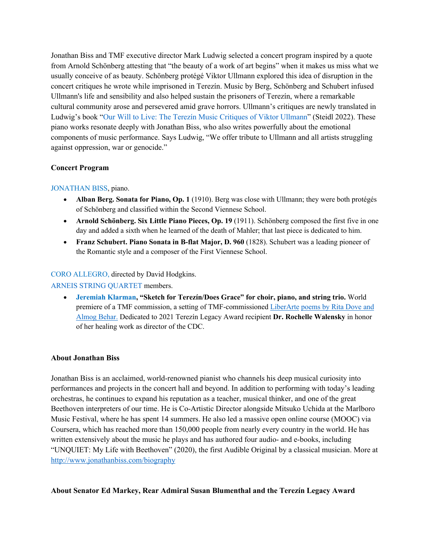Jonathan Biss and TMF executive director Mark Ludwig selected a concert program inspired by a quote from Arnold Schönberg attesting that "the beauty of a work of art begins" when it makes us miss what we usually conceive of as beauty. Schönberg protégé Viktor Ullmann explored this idea of disruption in the concert critiques he wrote while imprisoned in Terezín. Music by Berg, Schönberg and Schubert infused Ullmann's life and sensibility and also helped sustain the prisoners of Terezín, where a remarkable cultural community arose and persevered amid grave horrors. Ullmann's critiques are newly translated in Ludwig's book "Our Will to Live: The Terezín Music Critiques of Viktor Ullmann" (Steidl 2022). These piano works resonate deeply with Jonathan Biss, who also writes powerfully about the emotional components of music performance. Says Ludwig, "We offer tribute to Ullmann and all artists struggling against oppression, war or genocide."

# **Concert Program**

### JONATHAN BISS, piano.

- **Alban Berg. Sonata for Piano, Op. 1** (1910). Berg was close with Ullmann; they were both protégés of Schönberg and classified within the Second Viennese School.
- **Arnold Schönberg. Six Little Piano Pieces, Op. 19** (1911). Schönberg composed the first five in one day and added a sixth when he learned of the death of Mahler; that last piece is dedicated to him.
- **Franz Schubert. Piano Sonata in B-flat Major, D. 960** (1828). Schubert was a leading pioneer of the Romantic style and a composer of the First Viennese School.

## CORO ALLEGRO, directed by David Hodgkins.

### ARNEIS STRING QUARTET members.

• **Jeremiah Klarman, "Sketch for Terezín/Does Grace" for choir, piano, and string trio.** World premiere of a TMF commission, a setting of TMF-commissioned LiberArte poems by Rita Dove and Almog Behar. Dedicated to 2021 Terezín Legacy Award recipient **Dr. Rochelle Walensky** in honor of her healing work as director of the CDC.

### **About Jonathan Biss**

Jonathan Biss is an acclaimed, world-renowned pianist who channels his deep musical curiosity into performances and projects in the concert hall and beyond. In addition to performing with today's leading orchestras, he continues to expand his reputation as a teacher, musical thinker, and one of the great Beethoven interpreters of our time. He is Co-Artistic Director alongside Mitsuko Uchida at the Marlboro Music Festival, where he has spent 14 summers. He also led a massive open online course (MOOC) via Coursera, which has reached more than 150,000 people from nearly every country in the world. He has written extensively about the music he plays and has authored four audio- and e-books, including "UNQUIET: My Life with Beethoven" (2020), the first Audible Original by a classical musician. More at http://www.jonathanbiss.com/biography

### **About Senator Ed Markey, Rear Admiral Susan Blumenthal and the Terezín Legacy Award**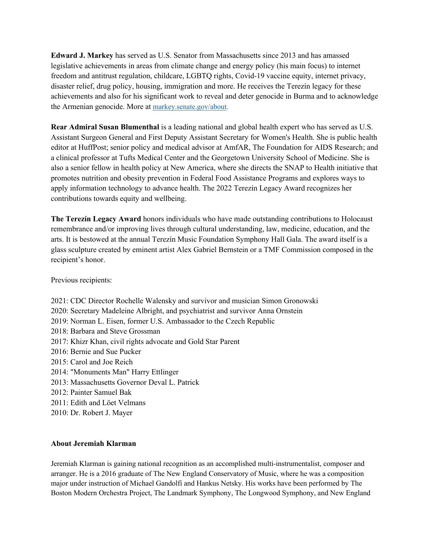**Edward J. Markey** has served as U.S. Senator from Massachusetts since 2013 and has amassed legislative achievements in areas from climate change and energy policy (his main focus) to internet freedom and antitrust regulation, childcare, LGBTQ rights, Covid-19 vaccine equity, internet privacy, disaster relief, drug policy, housing, immigration and more. He receives the Terezín legacy for these achievements and also for his significant work to reveal and deter genocide in Burma and to acknowledge the Armenian genocide. More at markey.senate.gov/about.

**Rear Admiral Susan Blumenthal** is a leading national and global health expert who has served as U.S. Assistant Surgeon General and First Deputy Assistant Secretary for Women's Health. She is public health editor at HuffPost; senior policy and medical advisor at AmfAR, The Foundation for AIDS Research; and a clinical professor at Tufts Medical Center and the Georgetown University School of Medicine. She is also a senior fellow in health policy at New America, where she directs the SNAP to Health initiative that promotes nutrition and obesity prevention in Federal Food Assistance Programs and explores ways to apply information technology to advance health. The 2022 Terezín Legacy Award recognizes her contributions towards equity and wellbeing.

**The Terezín Legacy Award** honors individuals who have made outstanding contributions to Holocaust remembrance and/or improving lives through cultural understanding, law, medicine, education, and the arts. It is bestowed at the annual Terezín Music Foundation Symphony Hall Gala. The award itself is a glass sculpture created by eminent artist Alex Gabriel Bernstein or a TMF Commission composed in the recipient's honor.

Previous recipients:

2021: CDC Director Rochelle Walensky and survivor and musician Simon Gronowski 2020: Secretary Madeleine Albright, and psychiatrist and survivor Anna Ornstein 2019: Norman L. Eisen, former U.S. Ambassador to the Czech Republic 2018: Barbara and Steve Grossman 2017: Khizr Khan, civil rights advocate and Gold Star Parent 2016: Bernie and Sue Pucker 2015: Carol and Joe Reich 2014: "Monuments Man" Harry Ettlinger 2013: Massachusetts Governor Deval L. Patrick 2012: Painter Samuel Bak 2011: Edith and Löet Velmans 2010: Dr. Robert J. Mayer

### **About Jeremiah Klarman**

Jeremiah Klarman is gaining national recognition as an accomplished multi-instrumentalist, composer and arranger. He is a 2016 graduate of The New England Conservatory of Music, where he was a composition major under instruction of Michael Gandolfi and Hankus Netsky. His works have been performed by The Boston Modern Orchestra Project, The Landmark Symphony, The Longwood Symphony, and New England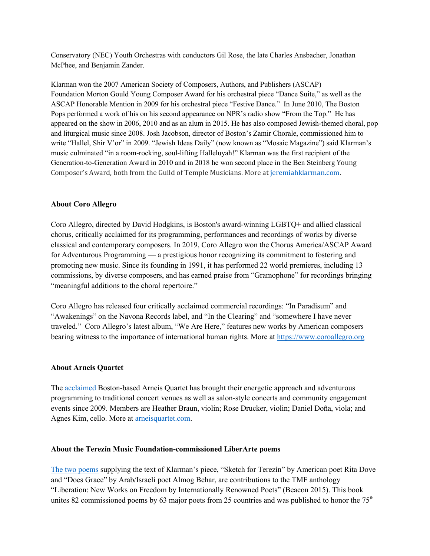Conservatory (NEC) Youth Orchestras with conductors Gil Rose, the late Charles Ansbacher, Jonathan McPhee, and Benjamin Zander.

Klarman won the 2007 American Society of Composers, Authors, and Publishers (ASCAP) Foundation Morton Gould Young Composer Award for his orchestral piece "Dance Suite," as well as the ASCAP Honorable Mention in 2009 for his orchestral piece "Festive Dance." In June 2010, The Boston Pops performed a work of his on his second appearance on NPR's radio show "From the Top." He has appeared on the show in 2006, 2010 and as an alum in 2015. He has also composed Jewish-themed choral, pop and liturgical music since 2008. Josh Jacobson, director of Boston's Zamir Chorale, commissioned him to write "Hallel, Shir V'or" in 2009. "Jewish Ideas Daily" (now known as "Mosaic Magazine") said Klarman's music culminated "in a room-rocking, soul-lifting Halleluyah!" Klarman was the first recipient of the Generation-to-Generation Award in 2010 and in 2018 he won second place in the Ben Steinberg Young Composer's Award, both from the Guild of Temple Musicians. More at jeremiahklarman.com.

### **About Coro Allegro**

Coro Allegro, directed by David Hodgkins, is Boston's award-winning LGBTQ+ and allied classical chorus, critically acclaimed for its programming, performances and recordings of works by diverse classical and contemporary composers. In 2019, Coro Allegro won the Chorus America/ASCAP Award for Adventurous Programming — a prestigious honor recognizing its commitment to fostering and promoting new music. Since its founding in 1991, it has performed 22 world premieres, including 13 commissions, by diverse composers, and has earned praise from "Gramophone" for recordings bringing "meaningful additions to the choral repertoire."

Coro Allegro has released four critically acclaimed commercial recordings: "In Paradisum" and "Awakenings" on the Navona Records label, and "In the Clearing" and "somewhere I have never traveled." Coro Allegro's latest album, "We Are Here," features new works by American composers bearing witness to the importance of international human rights. More at https://www.coroallegro.org

#### **About Arneis Quartet**

The acclaimed Boston-based Arneis Quartet has brought their energetic approach and adventurous programming to traditional concert venues as well as salon-style concerts and community engagement events since 2009. Members are Heather Braun, violin; Rose Drucker, violin; Daniel Doña, viola; and Agnes Kim, cello. More at arneisquartet.com.

#### **About the Terezín Music Foundation-commissioned LiberArte poems**

The two poems supplying the text of Klarman's piece, "Sketch for Terezín" by American poet Rita Dove and "Does Grace" by Arab/Israeli poet Almog Behar, are contributions to the TMF anthology "Liberation: New Works on Freedom by Internationally Renowned Poets" (Beacon 2015). This book unites 82 commissioned poems by 63 major poets from 25 countries and was published to honor the  $75<sup>th</sup>$